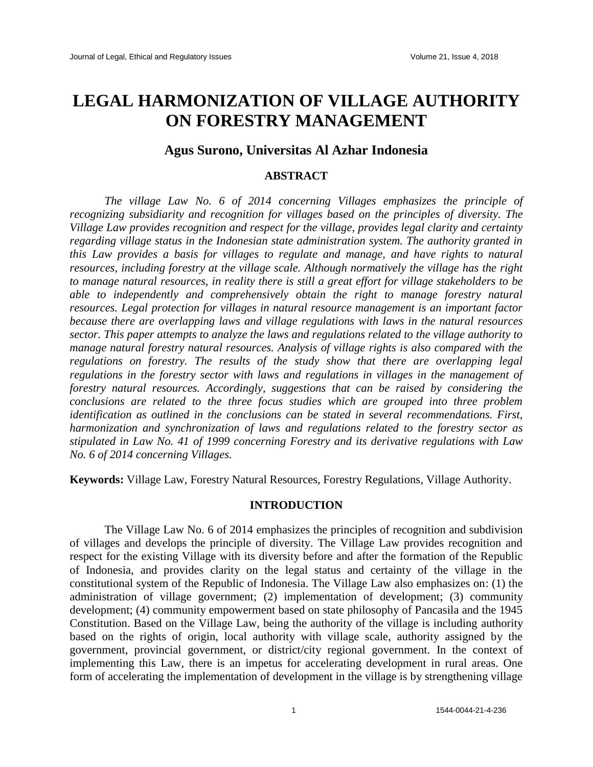# **LEGAL HARMONIZATION OF VILLAGE AUTHORITY ON FORESTRY MANAGEMENT**

# **Agus Surono, Universitas Al Azhar Indonesia**

### **ABSTRACT**

*The village Law No. 6 of 2014 concerning Villages emphasizes the principle of recognizing subsidiarity and recognition for villages based on the principles of diversity. The Village Law provides recognition and respect for the village, provides legal clarity and certainty regarding village status in the Indonesian state administration system. The authority granted in this Law provides a basis for villages to regulate and manage, and have rights to natural resources, including forestry at the village scale. Although normatively the village has the right to manage natural resources, in reality there is still a great effort for village stakeholders to be able to independently and comprehensively obtain the right to manage forestry natural resources. Legal protection for villages in natural resource management is an important factor because there are overlapping laws and village regulations with laws in the natural resources sector. This paper attempts to analyze the laws and regulations related to the village authority to manage natural forestry natural resources. Analysis of village rights is also compared with the regulations on forestry. The results of the study show that there are overlapping legal regulations in the forestry sector with laws and regulations in villages in the management of forestry natural resources. Accordingly, suggestions that can be raised by considering the conclusions are related to the three focus studies which are grouped into three problem identification as outlined in the conclusions can be stated in several recommendations. First, harmonization and synchronization of laws and regulations related to the forestry sector as stipulated in Law No. 41 of 1999 concerning Forestry and its derivative regulations with Law No. 6 of 2014 concerning Villages.*

**Keywords:** Village Law, Forestry Natural Resources, Forestry Regulations, Village Authority.

#### **INTRODUCTION**

The Village Law No. 6 of 2014 emphasizes the principles of recognition and subdivision of villages and develops the principle of diversity. The Village Law provides recognition and respect for the existing Village with its diversity before and after the formation of the Republic of Indonesia, and provides clarity on the legal status and certainty of the village in the constitutional system of the Republic of Indonesia. The Village Law also emphasizes on: (1) the administration of village government; (2) implementation of development; (3) community development; (4) community empowerment based on state philosophy of Pancasila and the 1945 Constitution. Based on the Village Law, being the authority of the village is including authority based on the rights of origin, local authority with village scale, authority assigned by the government, provincial government, or district/city regional government. In the context of implementing this Law, there is an impetus for accelerating development in rural areas. One form of accelerating the implementation of development in the village is by strengthening village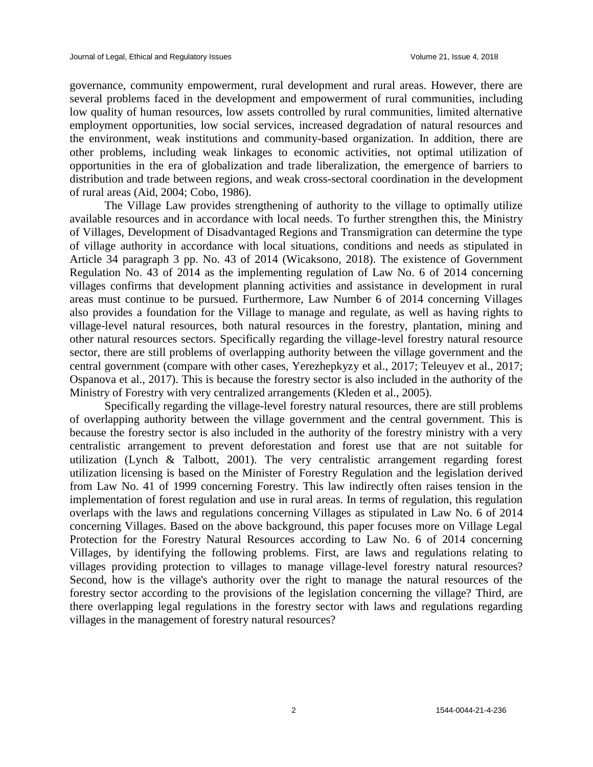governance, community empowerment, rural development and rural areas. However, there are several problems faced in the development and empowerment of rural communities, including low quality of human resources, low assets controlled by rural communities, limited alternative employment opportunities, low social services, increased degradation of natural resources and the environment, weak institutions and community-based organization. In addition, there are other problems, including weak linkages to economic activities, not optimal utilization of opportunities in the era of globalization and trade liberalization, the emergence of barriers to distribution and trade between regions, and weak cross-sectoral coordination in the development of rural areas (Aid, 2004; Cobo, 1986).

The Village Law provides strengthening of authority to the village to optimally utilize available resources and in accordance with local needs. To further strengthen this, the Ministry of Villages, Development of Disadvantaged Regions and Transmigration can determine the type of village authority in accordance with local situations, conditions and needs as stipulated in Article 34 paragraph 3 pp. No. 43 of 2014 (Wicaksono, 2018). The existence of Government Regulation No. 43 of 2014 as the implementing regulation of Law No. 6 of 2014 concerning villages confirms that development planning activities and assistance in development in rural areas must continue to be pursued. Furthermore, Law Number 6 of 2014 concerning Villages also provides a foundation for the Village to manage and regulate, as well as having rights to village-level natural resources, both natural resources in the forestry, plantation, mining and other natural resources sectors. Specifically regarding the village-level forestry natural resource sector, there are still problems of overlapping authority between the village government and the central government (compare with other cases, Yerezhepkyzy et al., 2017; Teleuyev et al., 2017; Ospanova et al., 2017). This is because the forestry sector is also included in the authority of the Ministry of Forestry with very centralized arrangements (Kleden et al., 2005).

Specifically regarding the village-level forestry natural resources, there are still problems of overlapping authority between the village government and the central government. This is because the forestry sector is also included in the authority of the forestry ministry with a very centralistic arrangement to prevent deforestation and forest use that are not suitable for utilization (Lynch & Talbott, 2001). The very centralistic arrangement regarding forest utilization licensing is based on the Minister of Forestry Regulation and the legislation derived from Law No. 41 of 1999 concerning Forestry. This law indirectly often raises tension in the implementation of forest regulation and use in rural areas. In terms of regulation, this regulation overlaps with the laws and regulations concerning Villages as stipulated in Law No. 6 of 2014 concerning Villages. Based on the above background, this paper focuses more on Village Legal Protection for the Forestry Natural Resources according to Law No. 6 of 2014 concerning Villages, by identifying the following problems. First, are laws and regulations relating to villages providing protection to villages to manage village-level forestry natural resources? Second, how is the village's authority over the right to manage the natural resources of the forestry sector according to the provisions of the legislation concerning the village? Third, are there overlapping legal regulations in the forestry sector with laws and regulations regarding villages in the management of forestry natural resources?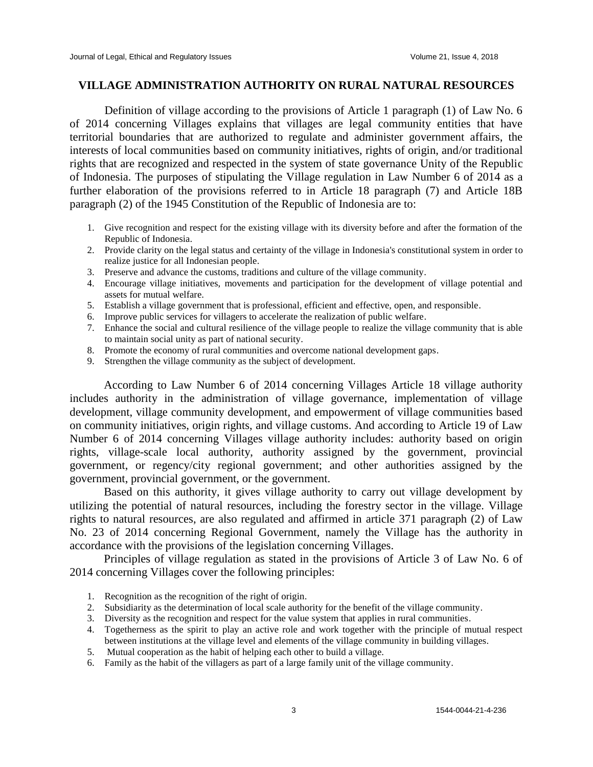## **VILLAGE ADMINISTRATION AUTHORITY ON RURAL NATURAL RESOURCES**

Definition of village according to the provisions of Article 1 paragraph (1) of Law No. 6 of 2014 concerning Villages explains that villages are legal community entities that have territorial boundaries that are authorized to regulate and administer government affairs, the interests of local communities based on community initiatives, rights of origin, and/or traditional rights that are recognized and respected in the system of state governance Unity of the Republic of Indonesia. The purposes of stipulating the Village regulation in Law Number 6 of 2014 as a further elaboration of the provisions referred to in Article 18 paragraph (7) and Article 18B paragraph (2) of the 1945 Constitution of the Republic of Indonesia are to:

- 1. Give recognition and respect for the existing village with its diversity before and after the formation of the Republic of Indonesia.
- 2. Provide clarity on the legal status and certainty of the village in Indonesia's constitutional system in order to realize justice for all Indonesian people.
- 3. Preserve and advance the customs, traditions and culture of the village community.
- 4. Encourage village initiatives, movements and participation for the development of village potential and assets for mutual welfare.
- 5. Establish a village government that is professional, efficient and effective, open, and responsible.
- 6. Improve public services for villagers to accelerate the realization of public welfare.
- 7. Enhance the social and cultural resilience of the village people to realize the village community that is able to maintain social unity as part of national security.
- 8. Promote the economy of rural communities and overcome national development gaps.
- 9. Strengthen the village community as the subject of development.

According to Law Number 6 of 2014 concerning Villages Article 18 village authority includes authority in the administration of village governance, implementation of village development, village community development, and empowerment of village communities based on community initiatives, origin rights, and village customs. And according to Article 19 of Law Number 6 of 2014 concerning Villages village authority includes: authority based on origin rights, village-scale local authority, authority assigned by the government, provincial government, or regency/city regional government; and other authorities assigned by the government, provincial government, or the government.

Based on this authority, it gives village authority to carry out village development by utilizing the potential of natural resources, including the forestry sector in the village. Village rights to natural resources, are also regulated and affirmed in article 371 paragraph (2) of Law No. 23 of 2014 concerning Regional Government, namely the Village has the authority in accordance with the provisions of the legislation concerning Villages.

Principles of village regulation as stated in the provisions of Article 3 of Law No. 6 of 2014 concerning Villages cover the following principles:

- 1. Recognition as the recognition of the right of origin.
- 2. Subsidiarity as the determination of local scale authority for the benefit of the village community.
- 3. Diversity as the recognition and respect for the value system that applies in rural communities.
- 4. Togetherness as the spirit to play an active role and work together with the principle of mutual respect between institutions at the village level and elements of the village community in building villages.
- 5. Mutual cooperation as the habit of helping each other to build a village.
- 6. Family as the habit of the villagers as part of a large family unit of the village community.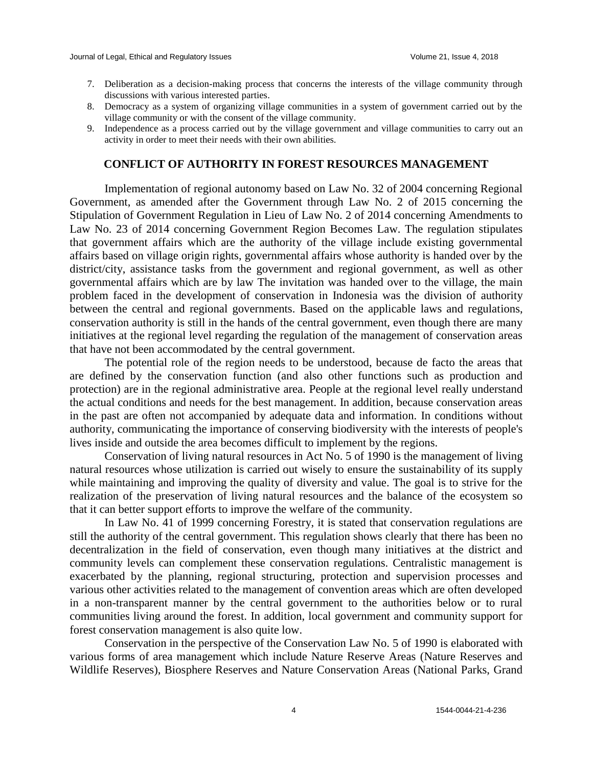- 7. Deliberation as a decision-making process that concerns the interests of the village community through discussions with various interested parties.
- 8. Democracy as a system of organizing village communities in a system of government carried out by the village community or with the consent of the village community.
- 9. Independence as a process carried out by the village government and village communities to carry out an activity in order to meet their needs with their own abilities.

#### **CONFLICT OF AUTHORITY IN FOREST RESOURCES MANAGEMENT**

Implementation of regional autonomy based on Law No. 32 of 2004 concerning Regional Government, as amended after the Government through Law No. 2 of 2015 concerning the Stipulation of Government Regulation in Lieu of Law No. 2 of 2014 concerning Amendments to Law No. 23 of 2014 concerning Government Region Becomes Law. The regulation stipulates that government affairs which are the authority of the village include existing governmental affairs based on village origin rights, governmental affairs whose authority is handed over by the district/city, assistance tasks from the government and regional government, as well as other governmental affairs which are by law The invitation was handed over to the village, the main problem faced in the development of conservation in Indonesia was the division of authority between the central and regional governments. Based on the applicable laws and regulations, conservation authority is still in the hands of the central government, even though there are many initiatives at the regional level regarding the regulation of the management of conservation areas that have not been accommodated by the central government.

The potential role of the region needs to be understood, because de facto the areas that are defined by the conservation function (and also other functions such as production and protection) are in the regional administrative area. People at the regional level really understand the actual conditions and needs for the best management. In addition, because conservation areas in the past are often not accompanied by adequate data and information. In conditions without authority, communicating the importance of conserving biodiversity with the interests of people's lives inside and outside the area becomes difficult to implement by the regions.

Conservation of living natural resources in Act No. 5 of 1990 is the management of living natural resources whose utilization is carried out wisely to ensure the sustainability of its supply while maintaining and improving the quality of diversity and value. The goal is to strive for the realization of the preservation of living natural resources and the balance of the ecosystem so that it can better support efforts to improve the welfare of the community.

In Law No. 41 of 1999 concerning Forestry, it is stated that conservation regulations are still the authority of the central government. This regulation shows clearly that there has been no decentralization in the field of conservation, even though many initiatives at the district and community levels can complement these conservation regulations. Centralistic management is exacerbated by the planning, regional structuring, protection and supervision processes and various other activities related to the management of convention areas which are often developed in a non-transparent manner by the central government to the authorities below or to rural communities living around the forest. In addition, local government and community support for forest conservation management is also quite low.

Conservation in the perspective of the Conservation Law No. 5 of 1990 is elaborated with various forms of area management which include Nature Reserve Areas (Nature Reserves and Wildlife Reserves), Biosphere Reserves and Nature Conservation Areas (National Parks, Grand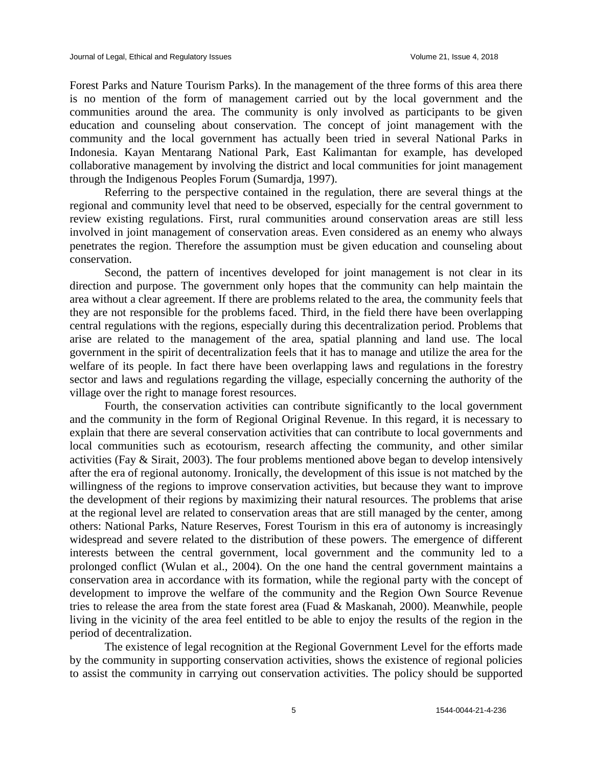Forest Parks and Nature Tourism Parks). In the management of the three forms of this area there is no mention of the form of management carried out by the local government and the communities around the area. The community is only involved as participants to be given education and counseling about conservation. The concept of joint management with the community and the local government has actually been tried in several National Parks in Indonesia. Kayan Mentarang National Park, East Kalimantan for example, has developed collaborative management by involving the district and local communities for joint management through the Indigenous Peoples Forum (Sumardja, 1997).

Referring to the perspective contained in the regulation, there are several things at the regional and community level that need to be observed, especially for the central government to review existing regulations. First, rural communities around conservation areas are still less involved in joint management of conservation areas. Even considered as an enemy who always penetrates the region. Therefore the assumption must be given education and counseling about conservation.

Second, the pattern of incentives developed for joint management is not clear in its direction and purpose. The government only hopes that the community can help maintain the area without a clear agreement. If there are problems related to the area, the community feels that they are not responsible for the problems faced. Third, in the field there have been overlapping central regulations with the regions, especially during this decentralization period. Problems that arise are related to the management of the area, spatial planning and land use. The local government in the spirit of decentralization feels that it has to manage and utilize the area for the welfare of its people. In fact there have been overlapping laws and regulations in the forestry sector and laws and regulations regarding the village, especially concerning the authority of the village over the right to manage forest resources.

Fourth, the conservation activities can contribute significantly to the local government and the community in the form of Regional Original Revenue. In this regard, it is necessary to explain that there are several conservation activities that can contribute to local governments and local communities such as ecotourism, research affecting the community, and other similar activities (Fay & Sirait, 2003). The four problems mentioned above began to develop intensively after the era of regional autonomy. Ironically, the development of this issue is not matched by the willingness of the regions to improve conservation activities, but because they want to improve the development of their regions by maximizing their natural resources. The problems that arise at the regional level are related to conservation areas that are still managed by the center, among others: National Parks, Nature Reserves, Forest Tourism in this era of autonomy is increasingly widespread and severe related to the distribution of these powers. The emergence of different interests between the central government, local government and the community led to a prolonged conflict (Wulan et al., 2004). On the one hand the central government maintains a conservation area in accordance with its formation, while the regional party with the concept of development to improve the welfare of the community and the Region Own Source Revenue tries to release the area from the state forest area (Fuad & Maskanah, 2000). Meanwhile, people living in the vicinity of the area feel entitled to be able to enjoy the results of the region in the period of decentralization.

The existence of legal recognition at the Regional Government Level for the efforts made by the community in supporting conservation activities, shows the existence of regional policies to assist the community in carrying out conservation activities. The policy should be supported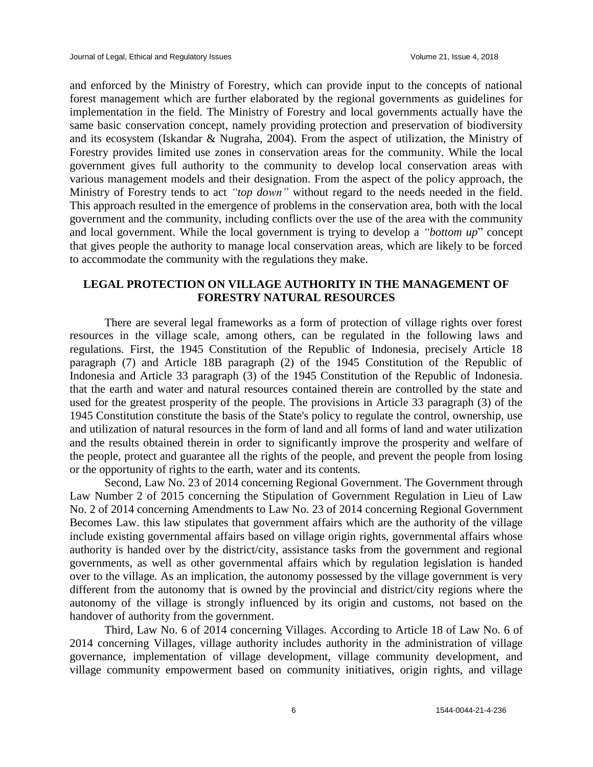and enforced by the Ministry of Forestry, which can provide input to the concepts of national forest management which are further elaborated by the regional governments as guidelines for implementation in the field. The Ministry of Forestry and local governments actually have the same basic conservation concept, namely providing protection and preservation of biodiversity and its ecosystem (Iskandar & Nugraha, 2004). From the aspect of utilization, the Ministry of Forestry provides limited use zones in conservation areas for the community. While the local government gives full authority to the community to develop local conservation areas with various management models and their designation. From the aspect of the policy approach, the Ministry of Forestry tends to act *"top down"* without regard to the needs needed in the field. This approach resulted in the emergence of problems in the conservation area, both with the local government and the community, including conflicts over the use of the area with the community and local government. While the local government is trying to develop a *"bottom up*" concept that gives people the authority to manage local conservation areas, which are likely to be forced to accommodate the community with the regulations they make.

## **LEGAL PROTECTION ON VILLAGE AUTHORITY IN THE MANAGEMENT OF FORESTRY NATURAL RESOURCES**

There are several legal frameworks as a form of protection of village rights over forest resources in the village scale, among others, can be regulated in the following laws and regulations. First, the 1945 Constitution of the Republic of Indonesia, precisely Article 18 paragraph (7) and Article 18B paragraph (2) of the 1945 Constitution of the Republic of Indonesia and Article 33 paragraph (3) of the 1945 Constitution of the Republic of Indonesia. that the earth and water and natural resources contained therein are controlled by the state and used for the greatest prosperity of the people. The provisions in Article 33 paragraph (3) of the 1945 Constitution constitute the basis of the State's policy to regulate the control, ownership, use and utilization of natural resources in the form of land and all forms of land and water utilization and the results obtained therein in order to significantly improve the prosperity and welfare of the people, protect and guarantee all the rights of the people, and prevent the people from losing or the opportunity of rights to the earth, water and its contents.

Second, Law No. 23 of 2014 concerning Regional Government. The Government through Law Number 2 of 2015 concerning the Stipulation of Government Regulation in Lieu of Law No. 2 of 2014 concerning Amendments to Law No. 23 of 2014 concerning Regional Government Becomes Law. this law stipulates that government affairs which are the authority of the village include existing governmental affairs based on village origin rights, governmental affairs whose authority is handed over by the district/city, assistance tasks from the government and regional governments, as well as other governmental affairs which by regulation legislation is handed over to the village. As an implication, the autonomy possessed by the village government is very different from the autonomy that is owned by the provincial and district/city regions where the autonomy of the village is strongly influenced by its origin and customs, not based on the handover of authority from the government.

Third, Law No. 6 of 2014 concerning Villages. According to Article 18 of Law No. 6 of 2014 concerning Villages, village authority includes authority in the administration of village governance, implementation of village development, village community development, and village community empowerment based on community initiatives, origin rights, and village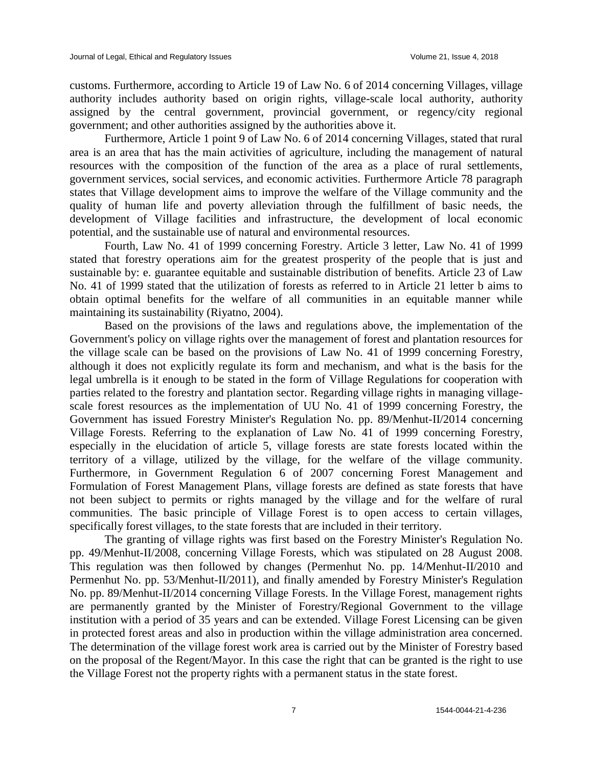customs. Furthermore, according to Article 19 of Law No. 6 of 2014 concerning Villages, village authority includes authority based on origin rights, village-scale local authority, authority assigned by the central government, provincial government, or regency/city regional government; and other authorities assigned by the authorities above it.

Furthermore, Article 1 point 9 of Law No. 6 of 2014 concerning Villages, stated that rural area is an area that has the main activities of agriculture, including the management of natural resources with the composition of the function of the area as a place of rural settlements, government services, social services, and economic activities. Furthermore Article 78 paragraph states that Village development aims to improve the welfare of the Village community and the quality of human life and poverty alleviation through the fulfillment of basic needs, the development of Village facilities and infrastructure, the development of local economic potential, and the sustainable use of natural and environmental resources.

Fourth, Law No. 41 of 1999 concerning Forestry. Article 3 letter, Law No. 41 of 1999 stated that forestry operations aim for the greatest prosperity of the people that is just and sustainable by: e. guarantee equitable and sustainable distribution of benefits. Article 23 of Law No. 41 of 1999 stated that the utilization of forests as referred to in Article 21 letter b aims to obtain optimal benefits for the welfare of all communities in an equitable manner while maintaining its sustainability (Riyatno, 2004).

Based on the provisions of the laws and regulations above, the implementation of the Government's policy on village rights over the management of forest and plantation resources for the village scale can be based on the provisions of Law No. 41 of 1999 concerning Forestry, although it does not explicitly regulate its form and mechanism, and what is the basis for the legal umbrella is it enough to be stated in the form of Village Regulations for cooperation with parties related to the forestry and plantation sector. Regarding village rights in managing villagescale forest resources as the implementation of UU No. 41 of 1999 concerning Forestry, the Government has issued Forestry Minister's Regulation No. pp. 89/Menhut-II/2014 concerning Village Forests. Referring to the explanation of Law No. 41 of 1999 concerning Forestry, especially in the elucidation of article 5, village forests are state forests located within the territory of a village, utilized by the village, for the welfare of the village community. Furthermore, in Government Regulation 6 of 2007 concerning Forest Management and Formulation of Forest Management Plans, village forests are defined as state forests that have not been subject to permits or rights managed by the village and for the welfare of rural communities. The basic principle of Village Forest is to open access to certain villages, specifically forest villages, to the state forests that are included in their territory.

The granting of village rights was first based on the Forestry Minister's Regulation No. pp. 49/Menhut-II/2008, concerning Village Forests, which was stipulated on 28 August 2008. This regulation was then followed by changes (Permenhut No. pp. 14/Menhut-II/2010 and Permenhut No. pp. 53/Menhut-II/2011), and finally amended by Forestry Minister's Regulation No. pp. 89/Menhut-II/2014 concerning Village Forests. In the Village Forest, management rights are permanently granted by the Minister of Forestry/Regional Government to the village institution with a period of 35 years and can be extended. Village Forest Licensing can be given in protected forest areas and also in production within the village administration area concerned. The determination of the village forest work area is carried out by the Minister of Forestry based on the proposal of the Regent/Mayor. In this case the right that can be granted is the right to use the Village Forest not the property rights with a permanent status in the state forest.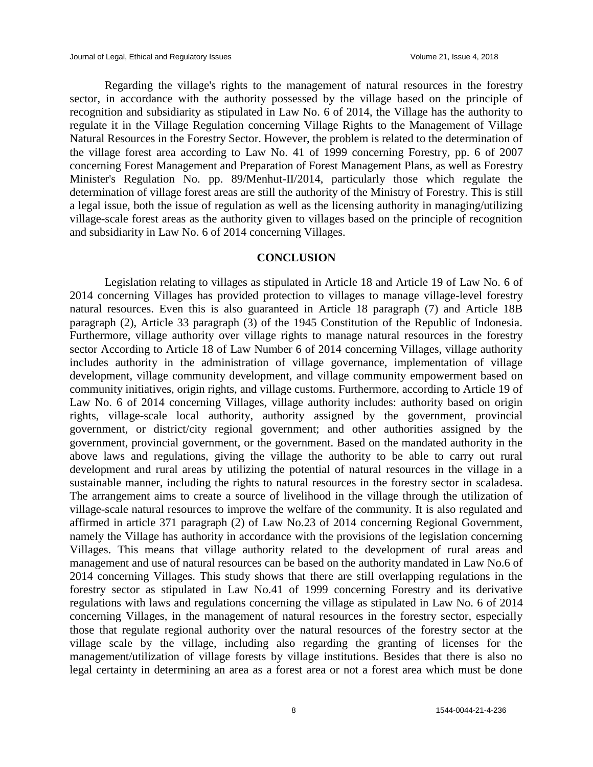Regarding the village's rights to the management of natural resources in the forestry sector, in accordance with the authority possessed by the village based on the principle of recognition and subsidiarity as stipulated in Law No. 6 of 2014, the Village has the authority to regulate it in the Village Regulation concerning Village Rights to the Management of Village Natural Resources in the Forestry Sector. However, the problem is related to the determination of the village forest area according to Law No. 41 of 1999 concerning Forestry, pp. 6 of 2007 concerning Forest Management and Preparation of Forest Management Plans, as well as Forestry Minister's Regulation No. pp. 89/Menhut-II/2014, particularly those which regulate the determination of village forest areas are still the authority of the Ministry of Forestry. This is still a legal issue, both the issue of regulation as well as the licensing authority in managing/utilizing village-scale forest areas as the authority given to villages based on the principle of recognition and subsidiarity in Law No. 6 of 2014 concerning Villages.

## **CONCLUSION**

Legislation relating to villages as stipulated in Article 18 and Article 19 of Law No. 6 of 2014 concerning Villages has provided protection to villages to manage village-level forestry natural resources. Even this is also guaranteed in Article 18 paragraph (7) and Article 18B paragraph (2), Article 33 paragraph (3) of the 1945 Constitution of the Republic of Indonesia. Furthermore, village authority over village rights to manage natural resources in the forestry sector According to Article 18 of Law Number 6 of 2014 concerning Villages, village authority includes authority in the administration of village governance, implementation of village development, village community development, and village community empowerment based on community initiatives, origin rights, and village customs. Furthermore, according to Article 19 of Law No. 6 of 2014 concerning Villages, village authority includes: authority based on origin rights, village-scale local authority, authority assigned by the government, provincial government, or district/city regional government; and other authorities assigned by the government, provincial government, or the government. Based on the mandated authority in the above laws and regulations, giving the village the authority to be able to carry out rural development and rural areas by utilizing the potential of natural resources in the village in a sustainable manner, including the rights to natural resources in the forestry sector in scaladesa. The arrangement aims to create a source of livelihood in the village through the utilization of village-scale natural resources to improve the welfare of the community. It is also regulated and affirmed in article 371 paragraph (2) of Law No.23 of 2014 concerning Regional Government, namely the Village has authority in accordance with the provisions of the legislation concerning Villages. This means that village authority related to the development of rural areas and management and use of natural resources can be based on the authority mandated in Law No.6 of 2014 concerning Villages. This study shows that there are still overlapping regulations in the forestry sector as stipulated in Law No.41 of 1999 concerning Forestry and its derivative regulations with laws and regulations concerning the village as stipulated in Law No. 6 of 2014 concerning Villages, in the management of natural resources in the forestry sector, especially those that regulate regional authority over the natural resources of the forestry sector at the village scale by the village, including also regarding the granting of licenses for the management/utilization of village forests by village institutions. Besides that there is also no legal certainty in determining an area as a forest area or not a forest area which must be done